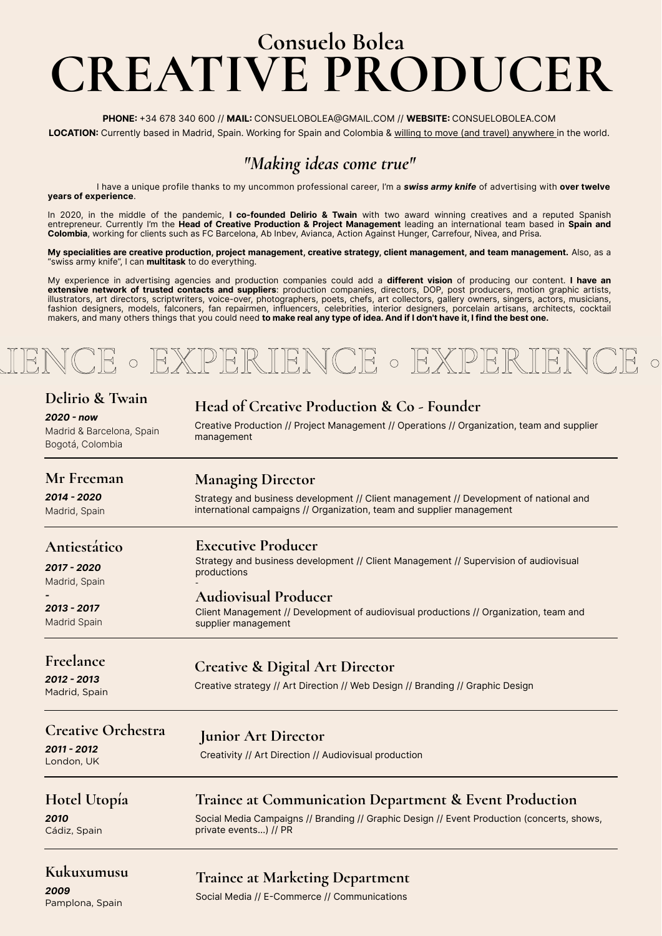*"Making ideas come true"*

 I have a unique profile thanks to my uncommon professional career, I'm a *swiss army knife* of advertising with **over twelve years of experience**.

In 2020, in the middle of the pandemic, **I co-founded Delirio & Twain** with two award winning creatives and a reputed Spanish entrepreneur. Currently I'm the **Head of Creative Production & Project Management** leading an international team based in **Spain and Colombia**, working for clients such as FC Barcelona, Ab Inbev, Avianca, Action Against Hunger, Carrefour, Nivea, and Prisa.

**My specialities are creative production, project management, creative strategy, client management, and team management.** Also, as a "swiss army knife", I can **multitask** to do everything.

# **Consuelo Bolea CREATIVE PRODUCER**

My experience in advertising agencies and production companies could add a **different vision** of producing our content. **I have an extensive network of trusted contacts and suppliers**: production companies, directors, DOP, post producers, motion graphic artists, illustrators, art directors, scriptwriters, voice-over, photographers, poets, chefs, art collectors, gallery owners, singers, actors, musicians, fashion designers, models, falconers, fan repairmen, influencers, celebrities, interior designers, porcelain artisans, architects, cocktail makers, and many others things that you could need **to make real any type of idea. And if I don't have it, I find the best one.**

## ENCER • EXPERIENCE • EXPERIENCE

**PHONE:** +34 678 340 600 // **MAIL:** CONSUELOBOLEA@GMAIL.COM // **WEBSITE:** CONSUELOBOLEA.COM

**LOCATION:** Currently based in Madrid, Spain. Working for Spain and Colombia & willing to move (and travel) anywhere in the world.

#### **Head of Creative Production & Co - Founder**

Creative Production // Project Management // Operations // Organization, team and supplier management

#### **Delirio & Twain**

*2020 - now*

Madrid & Barcelona, Spain Bogotá, Colombia

#### **Managing Director**

Strategy and business development // Client management // Development of national and international campaigns // Organization, team and supplier management

#### **Mr Freeman**

| TAIT T TTCTIIGII |  |
|------------------|--|
|------------------|--|

#### *2014 - 2020*

Madrid, Spain

### **Executive Producer**

Strategy and business development // Client Management // Supervision of audiovisual productions

-

#### **Audiovisual Producer**

Client Management // Development of audiovisual productions // Organization, team and supplier management

#### **Antiestático**

*2017 - 2020* Madrid, Spain

*-*

*2013 - 2017* Madrid Spain

### **Creative & Digital Art Director**

Creative strategy // Art Direction // Web Design // Branding // Graphic Design

#### **Freelance**

*2012 - 2013* Madrid, Spain

#### **Junior Art Director**

Creativity // Art Direction // Audiovisual production

#### **Creative Orchestra**

*2011 - 2012*

London, UK

#### **Trainee at Communication Department & Event Production**

Social Media Campaigns // Branding // Graphic Design // Event Production (concerts, shows, private events…) // PR

### **Hotel Utopía**

*2010*

Cádiz, Spain

#### **Kukuxumusu**

*2009*

Pamplona, Spain

**Trainee at Marketing Department**

Social Media // E-Commerce // Communications